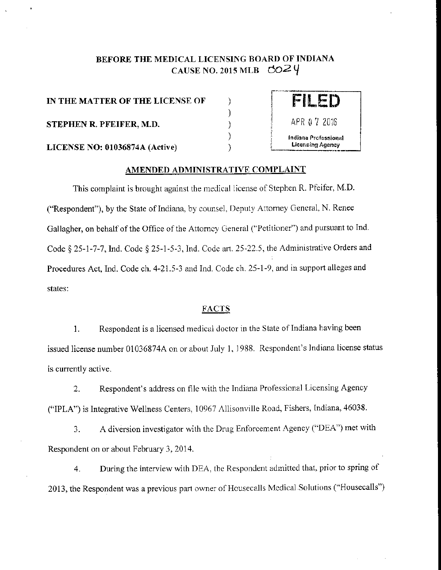# BEFORE THE MEDICAL LICENSING BOARD OF INDIANA CAUSE NO. 2015 MLB  $\cos^2 \theta$

) ) ) )

IN THE MATTER OF THE LICENSE OF **STEPHEN R. PFEIFER, M.D.**  $\rangle$  APR  $9.7$  2016 LICENSE NO: 01036874A (Active)



### AMENDED ADMINISTRATIVE COMPLAINT

This complaint is brought against the medical license of Stephen R. Pfeifer, M.D. ("Respondent"), by the State of Indiana. by counsel, Deputy Attorney General, N. Renee Gallagher, on behalf of the Office of the Attorney General ("Petitioner") and pursuant to Ind. Code§ 25-1-7-7, Ind. Code§ 25-1-5-3, Ind. Code art. 25-22.5, the Administrative Orders and Procedures Act, Ind. Code ch. 4-21.5-3 and Ind. Code ch. 25-1-9, and in support alleges and states:

## **FACTS**

1. Respondent is a licensed medical doctor in the State of Indiana having been issued license number 01 036874A on or about July I, 1988. Respondent's Indiana license status is currently active.

2. Respondent's address on file with the Indiana Professional Licensing Agency ("IPLA") is Integrative Wellness Centers, 10967 Allisonville Road, Fishers, Indiana, 46038.

3. A diversion investigator with the Drug Enforcement Agency ("DEA'') met with Respondent on or about February 3, 2014.

4. During the interview with DEA, the Respondent admitted that, prior to spring of 2013, the Respondent was a previous part owner of Housecalls Medical Solutions ("Housecalls")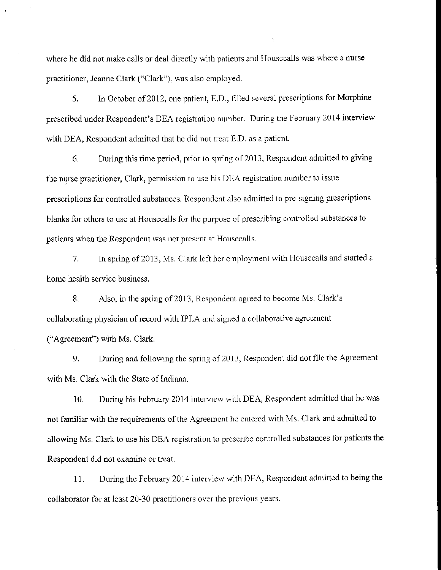where he did not make calls or deal directly with patients and Housccalls was where a nurse practitioner, Jeanne Clark ("Clark"), was also employed.

5. In October of 2012, one patient, E.D., filled several prescriptions for Morphine prescribed under Respondent's DEA registration number. During the February 2014 interview with DEA, Respondent admitted that he did not treat E.D. as a patient.

6. During this time period, prior to spring of 2013, Respondent admitted to giving the nurse practitioner, Clark, permission to use his DEA registration number to issue prescriptions for controlled substances. Respondent also admitted to pre-signing prescriptions blanks for others to use at Housecalls for the purpose of prescribing controlled substances to patients when the Respondent was not present at Housecalls.

7. In spring of 2013, Ms. Clark left her employment with Housecalls and started a home health service business.

8. Also, in the spring of 2013, Respondent agreed to become Ms. Clark's collaborating physician of record with IPLA and signed a collaborative agreement ("Agreement") with Ms. Clark.

9. During and following the spring of 2013, Respondent did not file the Agreement with Ms. Clark with the State of Indiana.

10. During his February 2014 interview with DEA, Respondent admitted that he was not familiar with the requirements of the Agreement he entered with Ms. Clark and admitted to allowing Ms. Clark to use his DEA registration to prescribe controlled substances for patients the Respondent did not examine or treat.

11. During the February 2014 interview with DEA, Respondent admitted to being the collaborator for at least 20-30 practitioners over the previous years.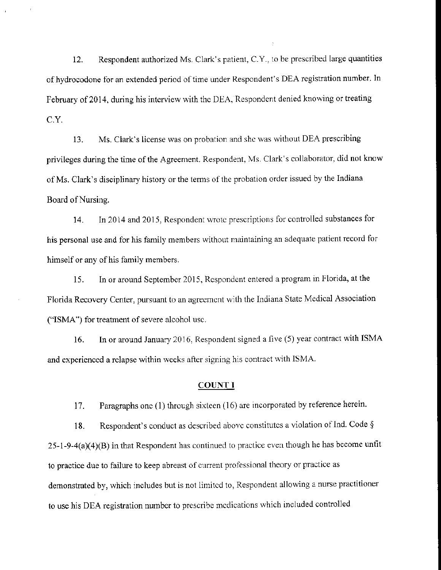12. Respondent authorized Ms. Clark's patient, C.Y., to be prescribed large quantities of hydrocodone for an extended period of time under Respondent's DEA registration number. In February of 2014, during his interview with the DEA, Respondent denied knowing or treating C.Y.

13. Ms. Clark's license was on probation and she was without DEA prescribing privileges during the time of the Agreement. Respondent, Ms. Clark's collaborator, did not know of Ms. Clark's disciplinary history or the terms of the probation order issued by the Indiana Board of Nursing.

14. In 2014 and 2015, Respondent wrote prescriptions for controlled substances for his personal use and for his family members without maintaining an adequate patient record for himself or any of his family members.

15. In or around September 2015, Respondent entered a program in Florida, at the Florida Recovery Center, pursuant to an agreement with the Indiana State Medical Association ("ISMA") for treatment of severe alcohol usc.

16. In or around January 2016, Respondent signed a five (5) year contract with ISMA and experienced a relapse within weeks after signing his contract with ISMA.

#### COUNT I

17. Paragraphs one (1) through sixteen (16) are incorporated by reference herein.

18. Respondent's conduct as described above constitutes a violation of Ind. Code  $\S$  $25-1-9-4(a)(4)(B)$  in that Respondent has continued to practice even though he has become unfit to practice due to failure to keep abreast of current professional theory or practice as demonstrated by, which includes but is not limited to, Respondent allowing a nurse practitioner to use his DEA registration number to prescribe medications which included controlled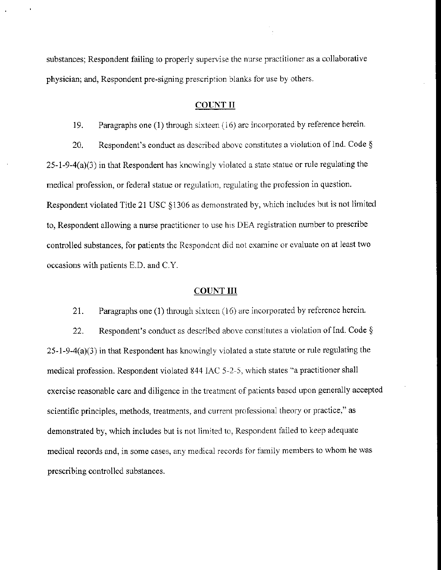substances; Respondent failing to properly supervise the nurse practitioner as a collaborative physician; and, Respondent pre~signing prescription blanks for use by others.

#### COLNT II

19. Paragraphs one (1) through sixteen (16) arc incorporated by reference herein.

20. Respondent's conduct as described above constitutes a violation of Ind. Code  $\S$  $25-1-9-4(a)(3)$  in that Respondent has knowingly violated a state statue or rule regulating the medical profession, or federal statue or regulation, regulating the profession in question. Respondent violated Title 21 USC §1306 as demonstrated by, which includes but is not limited to, Respondent allowing a nurse practitioner to use his DEA registration number to prescribe controlled substances, for patients the Respondent did not examine or evaluate on at least two occasions with patients E.D. and C.Y.

## COUNT III

21. Paragraphs one (1) through sixteen (16) are incorporated by reference herein. 22. Respondent's conduct as described above constitutes a violation of Ind. Code  $\S$  $25-1-9-4(a)(3)$  in that Respondent has knowingly violated a state statute or rule regulating the medical profession. Respondent violated 844 lAC 5-2-5, which states "a practitioner shall exercise reasonable care and diligence in the treatment of patients based upon generally accepted scientific principles, methods, treatments, and current professional theory or practice," as demonstrated by, which includes but is not limited to, Respondent failed to keep adequate medical records and, in some cases, any medical records for family members to whom he was prescribing controlled substances.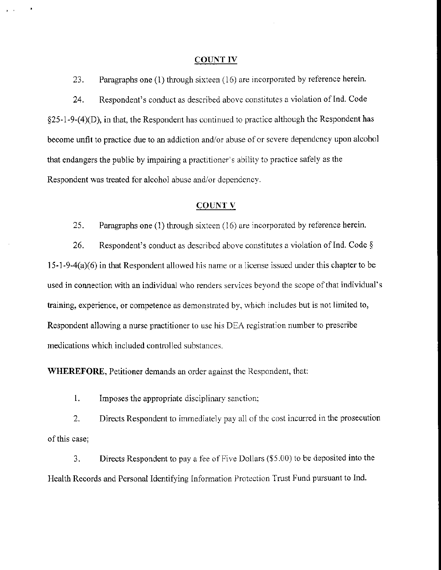#### COUNT IV

23. Paragraphs one (1) through sixteen (16) are incorporated by reference herein.

24. Respondent's conduct as described above constitutes a violation of Ind. Code §25-l-9-(4)(D), in that, the Respondent has continued to practice although the Respondent has become unfit to practice due to an addiction and/or abuse of or severe dependency upon alcohol that endangers the public by impairing a practitioner's ability to practice safely as the Respondent was treated for alcohol abuse and/or dependency.

#### COUNTY

25. Paragraphs one (1) through sixteen (16) are incorporated by reference herein.

26. Respondent's conduct as described above constitutes a violation of Ind. Code  $\S$  $15-1-9-4(a)(6)$  in that Respondent allowed his name or a license issued under this chapter to be used in connection with an individual who renders services beyond the scope of that individual's training, experience, or competence as demonstrated by, which includes but is not limited to, Respondent allowing a nurse practitioner to use his DEA registration number to prescribe medications which included controlled substances.

**WHEREFORE,** Petitioner demands an order against the Respondent, that:

1. Imposes the appropriate disciplinary sanction;

2. Directs Respondent to immediately pay all of the cost incurred in the prosecution of this case;

3. Directs Respondent to pay a fee of Five Dollars (\$5.00) to be deposited into the Health Records and Personal Identifying Information Protection Trust Fund pursuant to Ind.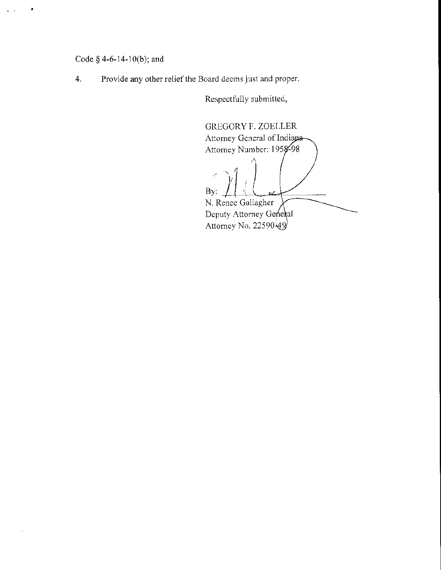# Code  $§$  4-6-14-10(b); and

٠

4. Provide any other relief the Board deems just and proper.

Respectfully submitted,

GREGORY F. ZOELLER Attorney General of Indiana--<br>Attorney Number: 1958-98  $, 1)$ i ; By: N. Renee Gallagher Deputy Attorney General Attorney No. 22590 $\cancel{49}$